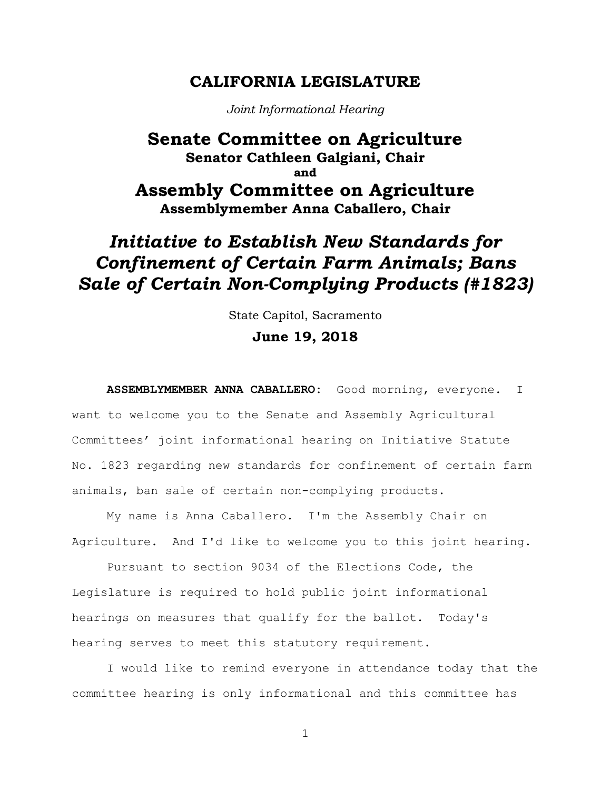## **CALIFORNIA LEGISLATURE**

*Joint Informational Hearing*

## **Senate Committee on Agriculture Senator Cathleen Galgiani, Chair and Assembly Committee on Agriculture Assemblymember Anna Caballero, Chair**

## *Initiative to Establish New Standards for Confinement of Certain Farm Animals; Bans Sale of Certain Non-Complying Products (#1823)*

State Capitol, Sacramento

## **June 19, 2018**

**ASSEMBLYMEMBER ANNA CABALLERO:** Good morning, everyone. I want to welcome you to the Senate and Assembly Agricultural Committees' joint informational hearing on Initiative Statute No. 1823 regarding new standards for confinement of certain farm animals, ban sale of certain non-complying products.

My name is Anna Caballero. I'm the Assembly Chair on Agriculture. And I'd like to welcome you to this joint hearing.

Pursuant to section 9034 of the Elections Code, the Legislature is required to hold public joint informational hearings on measures that qualify for the ballot. Today's hearing serves to meet this statutory requirement.

I would like to remind everyone in attendance today that the committee hearing is only informational and this committee has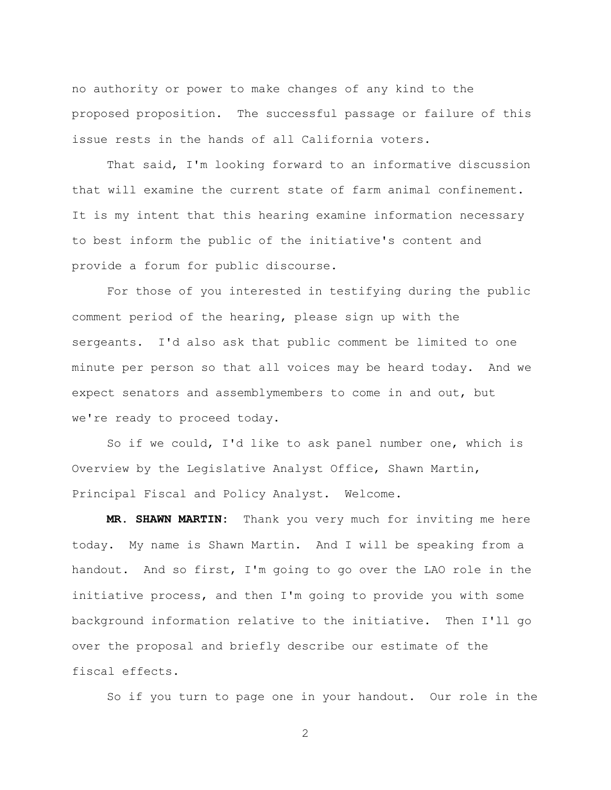no authority or power to make changes of any kind to the proposed proposition. The successful passage or failure of this issue rests in the hands of all California voters.

That said, I'm looking forward to an informative discussion that will examine the current state of farm animal confinement. It is my intent that this hearing examine information necessary to best inform the public of the initiative's content and provide a forum for public discourse.

For those of you interested in testifying during the public comment period of the hearing, please sign up with the sergeants. I'd also ask that public comment be limited to one minute per person so that all voices may be heard today. And we expect senators and assemblymembers to come in and out, but we're ready to proceed today.

So if we could, I'd like to ask panel number one, which is Overview by the Legislative Analyst Office, Shawn Martin, Principal Fiscal and Policy Analyst. Welcome.

**MR. SHAWN MARTIN:** Thank you very much for inviting me here today. My name is Shawn Martin. And I will be speaking from a handout. And so first, I'm going to go over the LAO role in the initiative process, and then I'm going to provide you with some background information relative to the initiative. Then I'll go over the proposal and briefly describe our estimate of the fiscal effects.

So if you turn to page one in your handout. Our role in the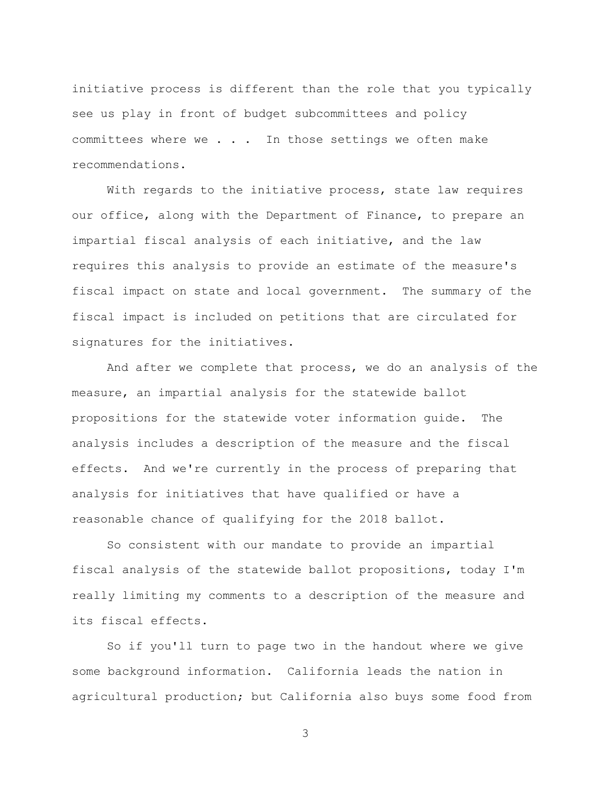initiative process is different than the role that you typically see us play in front of budget subcommittees and policy committees where we . . . In those settings we often make recommendations.

With regards to the initiative process, state law requires our office, along with the Department of Finance, to prepare an impartial fiscal analysis of each initiative, and the law requires this analysis to provide an estimate of the measure's fiscal impact on state and local government. The summary of the fiscal impact is included on petitions that are circulated for signatures for the initiatives.

And after we complete that process, we do an analysis of the measure, an impartial analysis for the statewide ballot propositions for the statewide voter information guide. The analysis includes a description of the measure and the fiscal effects. And we're currently in the process of preparing that analysis for initiatives that have qualified or have a reasonable chance of qualifying for the 2018 ballot.

So consistent with our mandate to provide an impartial fiscal analysis of the statewide ballot propositions, today I'm really limiting my comments to a description of the measure and its fiscal effects.

So if you'll turn to page two in the handout where we give some background information. California leads the nation in agricultural production; but California also buys some food from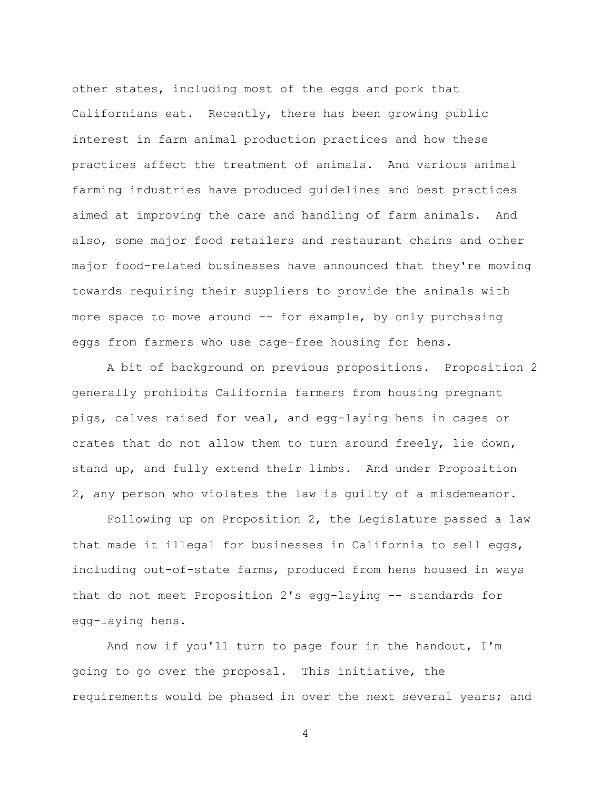other states, including most of the eggs and pork that Californians eat. Recently, there has been growing public interest in farm animal production practices and how these practices affect the treatment of animals. And various animal farming industries have produced guidelines and best practices aimed at improving the care and handling of farm animals. And also, some major food retailers and restaurant chains and other major food-related businesses have announced that they're moving towards requiring their suppliers to provide the animals with more space to move around -- for example, by only purchasing eggs from farmers who use cage-free housing for hens.

A bit of background on previous propositions. Proposition 2 generally prohibits California farmers from housing pregnant pigs, calves raised for veal, and egg-laying hens in cages or crates that do not allow them to turn around freely, lie down, stand up, and fully extend their limbs. And under Proposition 2, any person who violates the law is guilty of a misdemeanor.

Following up on Proposition 2, the Legislature passed a law that made it illegal for businesses in California to sell eggs, including out-of-state farms, produced from hens housed in ways that do not meet Proposition 2's egg-laying -- standards for egg-laying hens.

And now if you'll turn to page four in the handout, I'm going to go over the proposal. This initiative, the requirements would be phased in over the next several years; and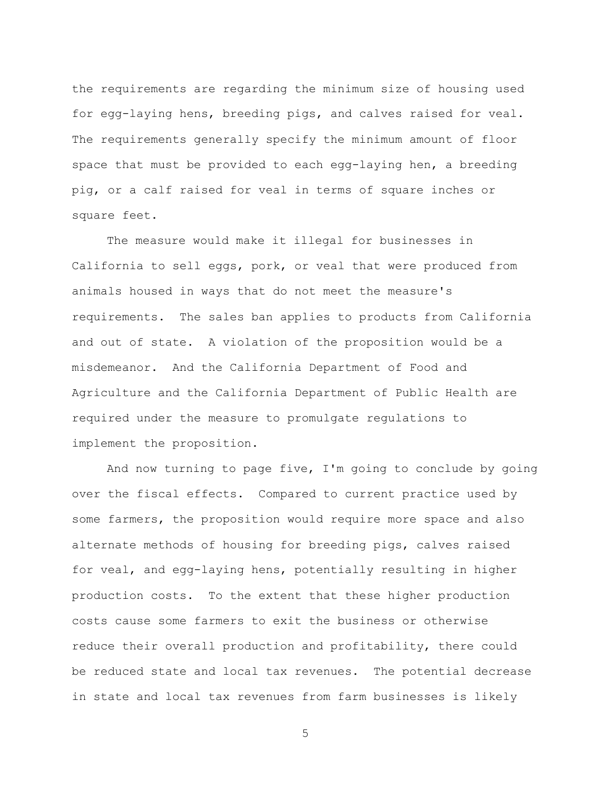the requirements are regarding the minimum size of housing used for egg-laying hens, breeding pigs, and calves raised for veal. The requirements generally specify the minimum amount of floor space that must be provided to each egg-laying hen, a breeding pig, or a calf raised for veal in terms of square inches or square feet.

The measure would make it illegal for businesses in California to sell eggs, pork, or veal that were produced from animals housed in ways that do not meet the measure's requirements. The sales ban applies to products from California and out of state. A violation of the proposition would be a misdemeanor. And the California Department of Food and Agriculture and the California Department of Public Health are required under the measure to promulgate regulations to implement the proposition.

And now turning to page five, I'm going to conclude by going over the fiscal effects. Compared to current practice used by some farmers, the proposition would require more space and also alternate methods of housing for breeding pigs, calves raised for veal, and egg-laying hens, potentially resulting in higher production costs. To the extent that these higher production costs cause some farmers to exit the business or otherwise reduce their overall production and profitability, there could be reduced state and local tax revenues. The potential decrease in state and local tax revenues from farm businesses is likely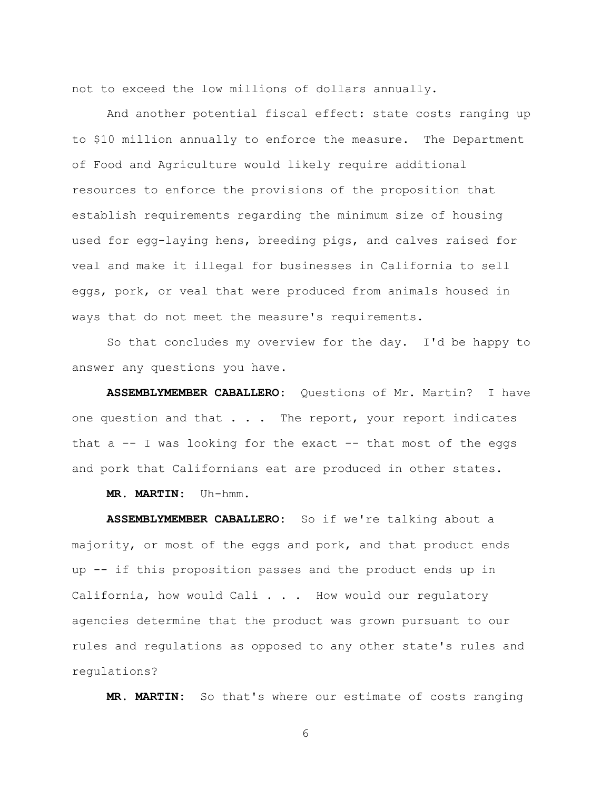not to exceed the low millions of dollars annually.

And another potential fiscal effect: state costs ranging up to \$10 million annually to enforce the measure. The Department of Food and Agriculture would likely require additional resources to enforce the provisions of the proposition that establish requirements regarding the minimum size of housing used for egg-laying hens, breeding pigs, and calves raised for veal and make it illegal for businesses in California to sell eggs, pork, or veal that were produced from animals housed in ways that do not meet the measure's requirements.

So that concludes my overview for the day. I'd be happy to answer any questions you have.

**ASSEMBLYMEMBER CABALLERO:** Questions of Mr. Martin? I have one question and that  $\ldots$ . The report, your report indicates that  $a$  -- I was looking for the exact -- that most of the eggs and pork that Californians eat are produced in other states.

**MR. MARTIN:** Uh-hmm.

**ASSEMBLYMEMBER CABALLERO:** So if we're talking about a majority, or most of the eggs and pork, and that product ends up -- if this proposition passes and the product ends up in California, how would Cali . . . How would our regulatory agencies determine that the product was grown pursuant to our rules and regulations as opposed to any other state's rules and regulations?

**MR. MARTIN:** So that's where our estimate of costs ranging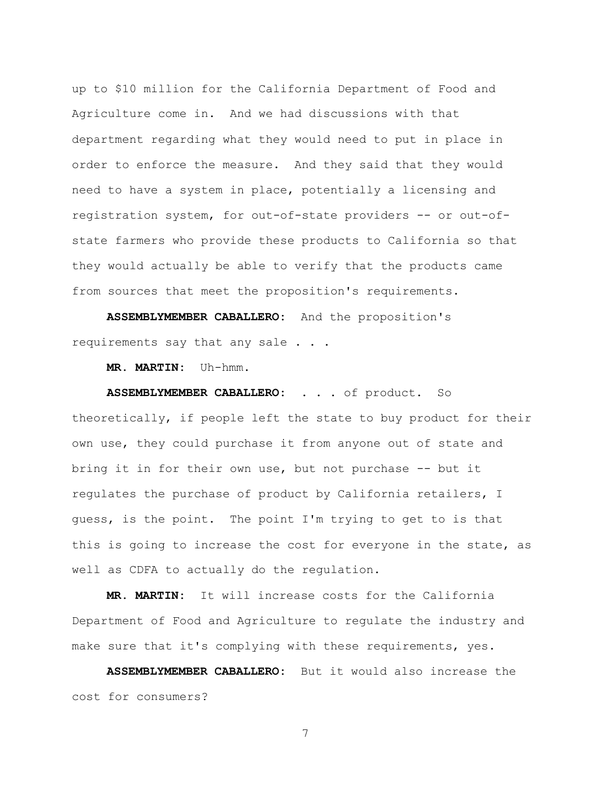up to \$10 million for the California Department of Food and Agriculture come in. And we had discussions with that department regarding what they would need to put in place in order to enforce the measure. And they said that they would need to have a system in place, potentially a licensing and registration system, for out-of-state providers -- or out-ofstate farmers who provide these products to California so that they would actually be able to verify that the products came from sources that meet the proposition's requirements.

**ASSEMBLYMEMBER CABALLERO:** And the proposition's requirements say that any sale . . .

**MR. MARTIN:** Uh-hmm.

**ASSEMBLYMEMBER CABALLERO:** . . . of product. So theoretically, if people left the state to buy product for their own use, they could purchase it from anyone out of state and bring it in for their own use, but not purchase -- but it regulates the purchase of product by California retailers, I guess, is the point. The point I'm trying to get to is that this is going to increase the cost for everyone in the state, as well as CDFA to actually do the regulation.

**MR. MARTIN:** It will increase costs for the California Department of Food and Agriculture to regulate the industry and make sure that it's complying with these requirements, yes.

**ASSEMBLYMEMBER CABALLERO:** But it would also increase the cost for consumers?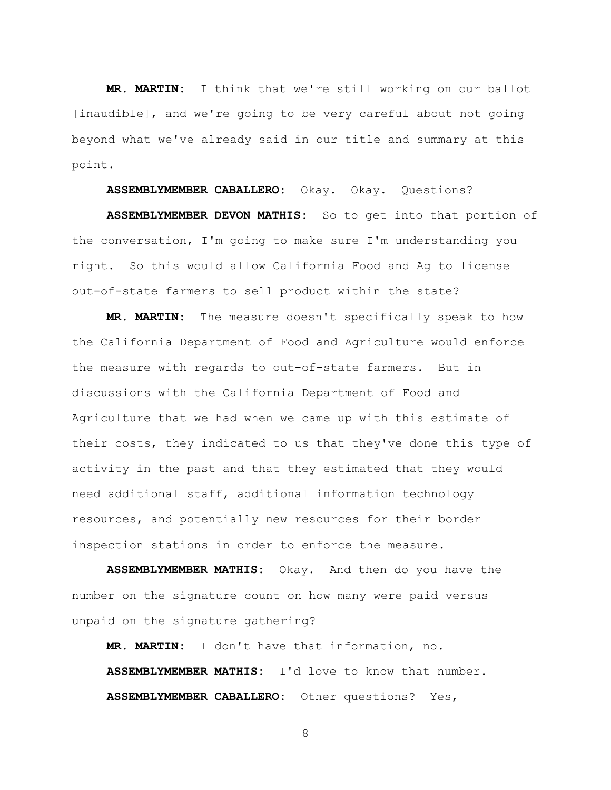**MR. MARTIN:** I think that we're still working on our ballot [inaudible], and we're going to be very careful about not going beyond what we've already said in our title and summary at this point.

**ASSEMBLYMEMBER CABALLERO:** Okay. Okay. Questions?

**ASSEMBLYMEMBER DEVON MATHIS:** So to get into that portion of the conversation, I'm going to make sure I'm understanding you right. So this would allow California Food and Ag to license out-of-state farmers to sell product within the state?

**MR. MARTIN:** The measure doesn't specifically speak to how the California Department of Food and Agriculture would enforce the measure with regards to out-of-state farmers. But in discussions with the California Department of Food and Agriculture that we had when we came up with this estimate of their costs, they indicated to us that they've done this type of activity in the past and that they estimated that they would need additional staff, additional information technology resources, and potentially new resources for their border inspection stations in order to enforce the measure.

**ASSEMBLYMEMBER MATHIS:** Okay. And then do you have the number on the signature count on how many were paid versus unpaid on the signature gathering?

**MR. MARTIN:** I don't have that information, no. **ASSEMBLYMEMBER MATHIS:** I'd love to know that number. **ASSEMBLYMEMBER CABALLERO:** Other questions? Yes,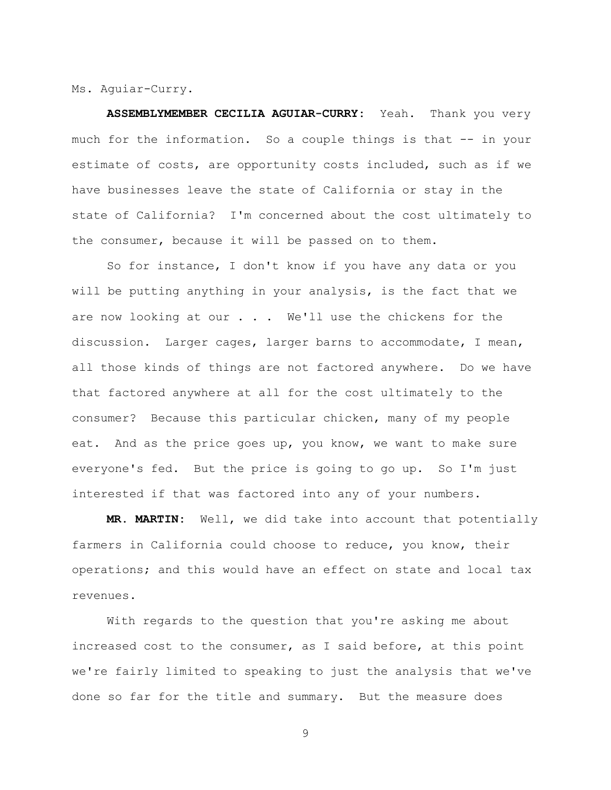Ms. Aguiar-Curry.

**ASSEMBLYMEMBER CECILIA AGUIAR-CURRY:** Yeah. Thank you very much for the information. So a couple things is that -- in your estimate of costs, are opportunity costs included, such as if we have businesses leave the state of California or stay in the state of California? I'm concerned about the cost ultimately to the consumer, because it will be passed on to them.

So for instance, I don't know if you have any data or you will be putting anything in your analysis, is the fact that we are now looking at our . . . We'll use the chickens for the discussion. Larger cages, larger barns to accommodate, I mean, all those kinds of things are not factored anywhere. Do we have that factored anywhere at all for the cost ultimately to the consumer? Because this particular chicken, many of my people eat. And as the price goes up, you know, we want to make sure everyone's fed. But the price is going to go up. So I'm just interested if that was factored into any of your numbers.

**MR. MARTIN:** Well, we did take into account that potentially farmers in California could choose to reduce, you know, their operations; and this would have an effect on state and local tax revenues.

With regards to the question that you're asking me about increased cost to the consumer, as I said before, at this point we're fairly limited to speaking to just the analysis that we've done so far for the title and summary. But the measure does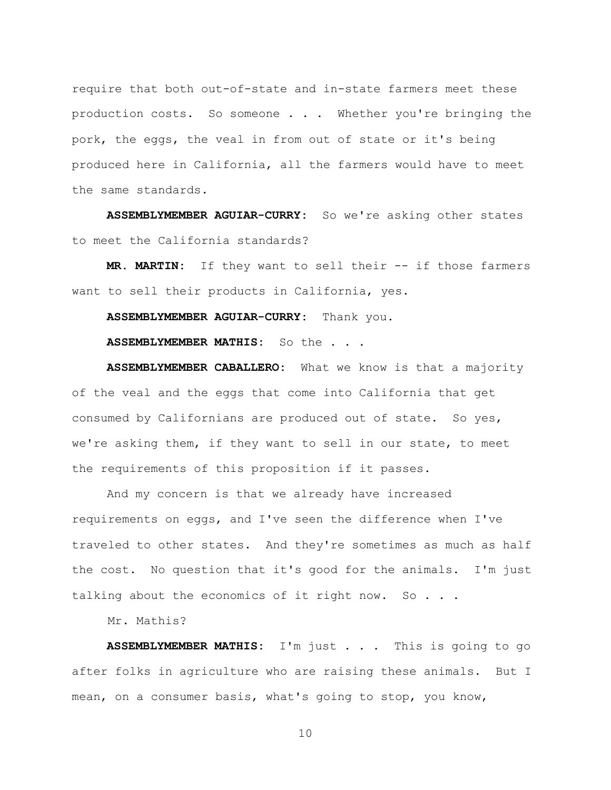require that both out-of-state and in-state farmers meet these production costs. So someone . . . Whether you're bringing the pork, the eggs, the veal in from out of state or it's being produced here in California, all the farmers would have to meet the same standards.

**ASSEMBLYMEMBER AGUIAR-CURRY:** So we're asking other states to meet the California standards?

**MR. MARTIN:** If they want to sell their -- if those farmers want to sell their products in California, yes.

**ASSEMBLYMEMBER AGUIAR-CURRY:** Thank you.

**ASSEMBLYMEMBER MATHIS:** So the . . .

**ASSEMBLYMEMBER CABALLERO:** What we know is that a majority of the veal and the eggs that come into California that get consumed by Californians are produced out of state. So yes, we're asking them, if they want to sell in our state, to meet the requirements of this proposition if it passes.

And my concern is that we already have increased requirements on eggs, and I've seen the difference when I've traveled to other states. And they're sometimes as much as half the cost. No question that it's good for the animals. I'm just talking about the economics of it right now. So . . .

Mr. Mathis?

**ASSEMBLYMEMBER MATHIS:** I'm just . . . This is going to go after folks in agriculture who are raising these animals. But I mean, on a consumer basis, what's going to stop, you know,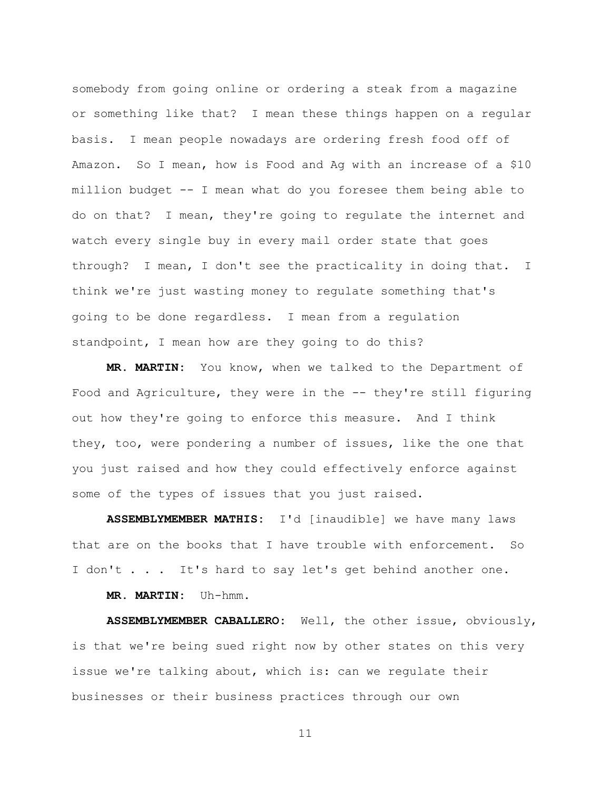somebody from going online or ordering a steak from a magazine or something like that? I mean these things happen on a regular basis. I mean people nowadays are ordering fresh food off of Amazon. So I mean, how is Food and Ag with an increase of a \$10 million budget -- I mean what do you foresee them being able to do on that? I mean, they're going to regulate the internet and watch every single buy in every mail order state that goes through? I mean, I don't see the practicality in doing that. I think we're just wasting money to regulate something that's going to be done regardless. I mean from a regulation standpoint, I mean how are they going to do this?

**MR. MARTIN:** You know, when we talked to the Department of Food and Agriculture, they were in the -- they're still figuring out how they're going to enforce this measure. And I think they, too, were pondering a number of issues, like the one that you just raised and how they could effectively enforce against some of the types of issues that you just raised.

**ASSEMBLYMEMBER MATHIS:** I'd [inaudible] we have many laws that are on the books that I have trouble with enforcement. So I don't . . . It's hard to say let's get behind another one.

**MR. MARTIN:** Uh-hmm.

**ASSEMBLYMEMBER CABALLERO:** Well, the other issue, obviously, is that we're being sued right now by other states on this very issue we're talking about, which is: can we regulate their businesses or their business practices through our own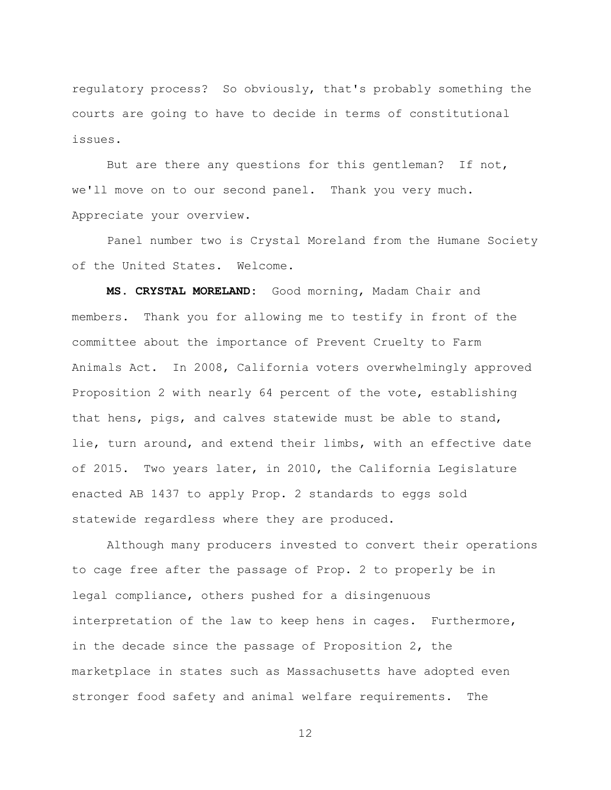regulatory process? So obviously, that's probably something the courts are going to have to decide in terms of constitutional issues.

But are there any questions for this gentleman? If not, we'll move on to our second panel. Thank you very much. Appreciate your overview.

Panel number two is Crystal Moreland from the Humane Society of the United States. Welcome.

**MS. CRYSTAL MORELAND:** Good morning, Madam Chair and members. Thank you for allowing me to testify in front of the committee about the importance of Prevent Cruelty to Farm Animals Act. In 2008, California voters overwhelmingly approved Proposition 2 with nearly 64 percent of the vote, establishing that hens, pigs, and calves statewide must be able to stand, lie, turn around, and extend their limbs, with an effective date of 2015. Two years later, in 2010, the California Legislature enacted AB 1437 to apply Prop. 2 standards to eggs sold statewide regardless where they are produced.

Although many producers invested to convert their operations to cage free after the passage of Prop. 2 to properly be in legal compliance, others pushed for a disingenuous interpretation of the law to keep hens in cages. Furthermore, in the decade since the passage of Proposition 2, the marketplace in states such as Massachusetts have adopted even stronger food safety and animal welfare requirements. The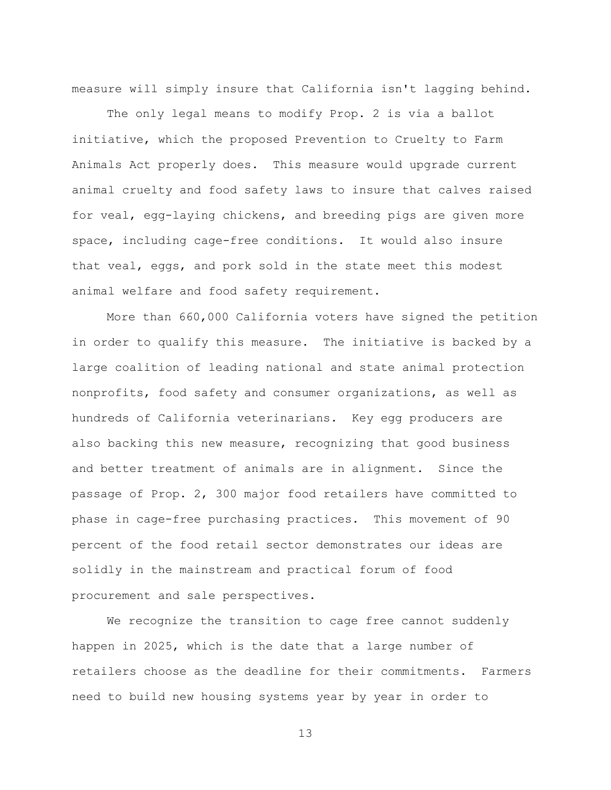measure will simply insure that California isn't lagging behind.

The only legal means to modify Prop. 2 is via a ballot initiative, which the proposed Prevention to Cruelty to Farm Animals Act properly does. This measure would upgrade current animal cruelty and food safety laws to insure that calves raised for veal, egg-laying chickens, and breeding pigs are given more space, including cage-free conditions. It would also insure that veal, eggs, and pork sold in the state meet this modest animal welfare and food safety requirement.

More than 660,000 California voters have signed the petition in order to qualify this measure. The initiative is backed by a large coalition of leading national and state animal protection nonprofits, food safety and consumer organizations, as well as hundreds of California veterinarians. Key egg producers are also backing this new measure, recognizing that good business and better treatment of animals are in alignment. Since the passage of Prop. 2, 300 major food retailers have committed to phase in cage-free purchasing practices. This movement of 90 percent of the food retail sector demonstrates our ideas are solidly in the mainstream and practical forum of food procurement and sale perspectives.

We recognize the transition to cage free cannot suddenly happen in 2025, which is the date that a large number of retailers choose as the deadline for their commitments. Farmers need to build new housing systems year by year in order to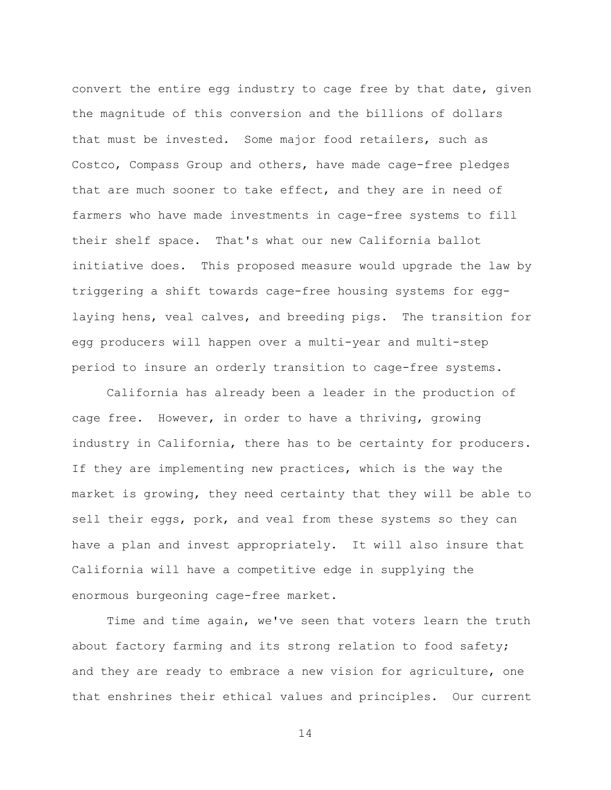convert the entire egg industry to cage free by that date, given the magnitude of this conversion and the billions of dollars that must be invested. Some major food retailers, such as Costco, Compass Group and others, have made cage-free pledges that are much sooner to take effect, and they are in need of farmers who have made investments in cage-free systems to fill their shelf space. That's what our new California ballot initiative does. This proposed measure would upgrade the law by triggering a shift towards cage-free housing systems for egglaying hens, veal calves, and breeding pigs. The transition for egg producers will happen over a multi-year and multi-step period to insure an orderly transition to cage-free systems.

California has already been a leader in the production of cage free. However, in order to have a thriving, growing industry in California, there has to be certainty for producers. If they are implementing new practices, which is the way the market is growing, they need certainty that they will be able to sell their eggs, pork, and veal from these systems so they can have a plan and invest appropriately. It will also insure that California will have a competitive edge in supplying the enormous burgeoning cage-free market.

Time and time again, we've seen that voters learn the truth about factory farming and its strong relation to food safety; and they are ready to embrace a new vision for agriculture, one that enshrines their ethical values and principles. Our current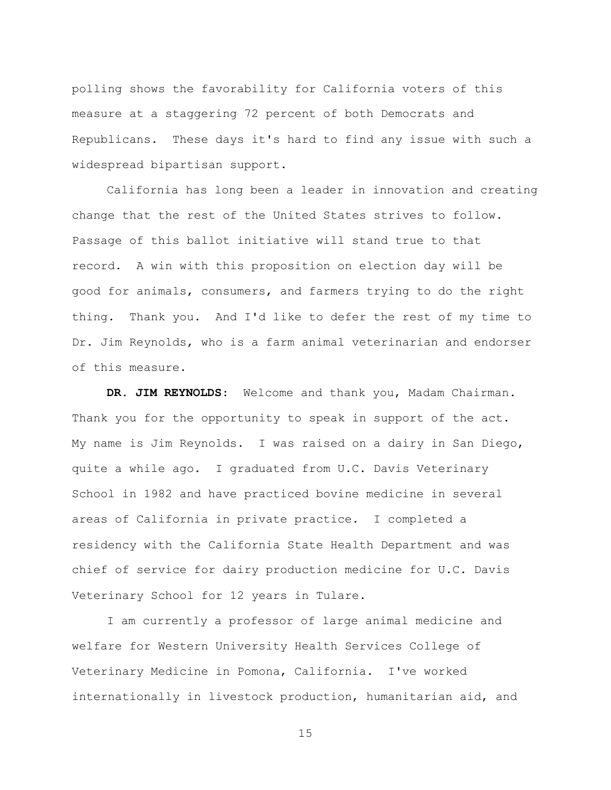polling shows the favorability for California voters of this measure at a staggering 72 percent of both Democrats and Republicans. These days it's hard to find any issue with such a widespread bipartisan support.

California has long been a leader in innovation and creating change that the rest of the United States strives to follow. Passage of this ballot initiative will stand true to that record. A win with this proposition on election day will be good for animals, consumers, and farmers trying to do the right thing. Thank you. And I'd like to defer the rest of my time to Dr. Jim Reynolds, who is a farm animal veterinarian and endorser of this measure.

**DR. JIM REYNOLDS**: Welcome and thank you, Madam Chairman. Thank you for the opportunity to speak in support of the act. My name is Jim Reynolds. I was raised on a dairy in San Diego, quite a while ago. I graduated from U.C. Davis Veterinary School in 1982 and have practiced bovine medicine in several areas of California in private practice. I completed a residency with the California State Health Department and was chief of service for dairy production medicine for U.C. Davis Veterinary School for 12 years in Tulare.

I am currently a professor of large animal medicine and welfare for Western University Health Services College of Veterinary Medicine in Pomona, California. I've worked internationally in livestock production, humanitarian aid, and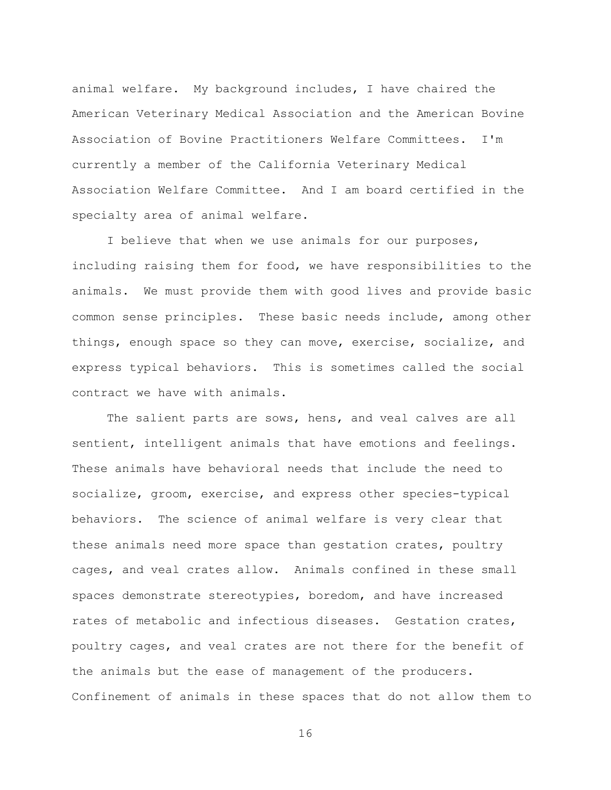animal welfare. My background includes, I have chaired the American Veterinary Medical Association and the American Bovine Association of Bovine Practitioners Welfare Committees. I'm currently a member of the California Veterinary Medical Association Welfare Committee. And I am board certified in the specialty area of animal welfare.

I believe that when we use animals for our purposes, including raising them for food, we have responsibilities to the animals. We must provide them with good lives and provide basic common sense principles. These basic needs include, among other things, enough space so they can move, exercise, socialize, and express typical behaviors. This is sometimes called the social contract we have with animals.

The salient parts are sows, hens, and veal calves are all sentient, intelligent animals that have emotions and feelings. These animals have behavioral needs that include the need to socialize, groom, exercise, and express other species-typical behaviors. The science of animal welfare is very clear that these animals need more space than gestation crates, poultry cages, and veal crates allow. Animals confined in these small spaces demonstrate stereotypies, boredom, and have increased rates of metabolic and infectious diseases. Gestation crates, poultry cages, and veal crates are not there for the benefit of the animals but the ease of management of the producers. Confinement of animals in these spaces that do not allow them to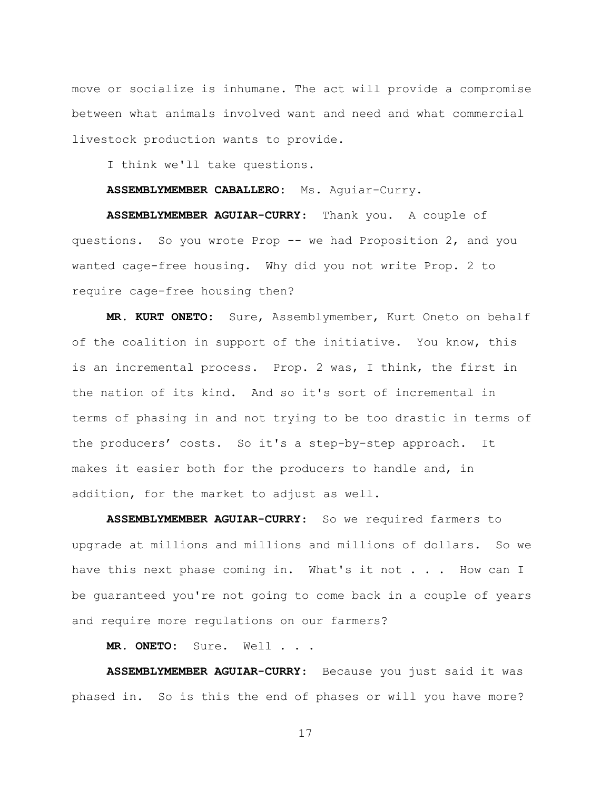move or socialize is inhumane. The act will provide a compromise between what animals involved want and need and what commercial livestock production wants to provide.

I think we'll take questions.

**ASSEMBLYMEMBER CABALLERO:** Ms. Aguiar-Curry.

**ASSEMBLYMEMBER AGUIAR-CURRY**: Thank you. A couple of questions. So you wrote Prop -- we had Proposition 2, and you wanted cage-free housing. Why did you not write Prop. 2 to require cage-free housing then?

**MR. KURT ONETO:** Sure, Assemblymember, Kurt Oneto on behalf of the coalition in support of the initiative. You know, this is an incremental process. Prop. 2 was, I think, the first in the nation of its kind. And so it's sort of incremental in terms of phasing in and not trying to be too drastic in terms of the producers' costs. So it's a step-by-step approach. It makes it easier both for the producers to handle and, in addition, for the market to adjust as well.

**ASSEMBLYMEMBER AGUIAR-CURRY**: So we required farmers to upgrade at millions and millions and millions of dollars. So we have this next phase coming in. What's it not . . . How can I be guaranteed you're not going to come back in a couple of years and require more regulations on our farmers?

**MR. ONETO:** Sure. Well . . .

**ASSEMBLYMEMBER AGUIAR-CURRY**: Because you just said it was phased in. So is this the end of phases or will you have more?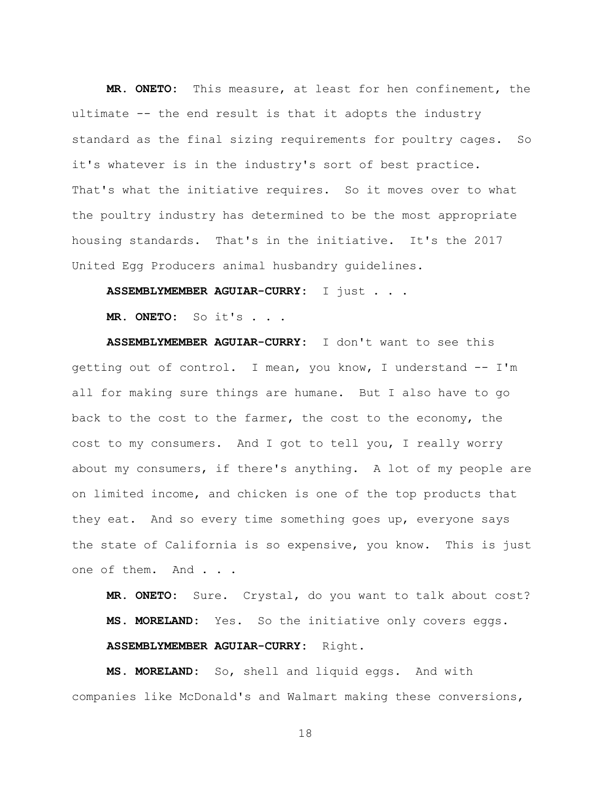**MR. ONETO:** This measure, at least for hen confinement, the ultimate -- the end result is that it adopts the industry standard as the final sizing requirements for poultry cages. So it's whatever is in the industry's sort of best practice. That's what the initiative requires. So it moves over to what the poultry industry has determined to be the most appropriate housing standards. That's in the initiative. It's the 2017 United Egg Producers animal husbandry guidelines.

**ASSEMBLYMEMBER AGUIAR-CURRY:** I just . . .

**MR. ONETO:** So it's . . .

**ASSEMBLYMEMBER AGUIAR-CURRY:** I don't want to see this getting out of control. I mean, you know, I understand -- I'm all for making sure things are humane. But I also have to go back to the cost to the farmer, the cost to the economy, the cost to my consumers. And I got to tell you, I really worry about my consumers, if there's anything. A lot of my people are on limited income, and chicken is one of the top products that they eat. And so every time something goes up, everyone says the state of California is so expensive, you know. This is just one of them. And . . .

**MR. ONETO:** Sure. Crystal, do you want to talk about cost? **MS. MORELAND:** Yes. So the initiative only covers eggs. **ASSEMBLYMEMBER AGUIAR-CURRY:** Right.

**MS. MORELAND:** So, shell and liquid eggs. And with companies like McDonald's and Walmart making these conversions,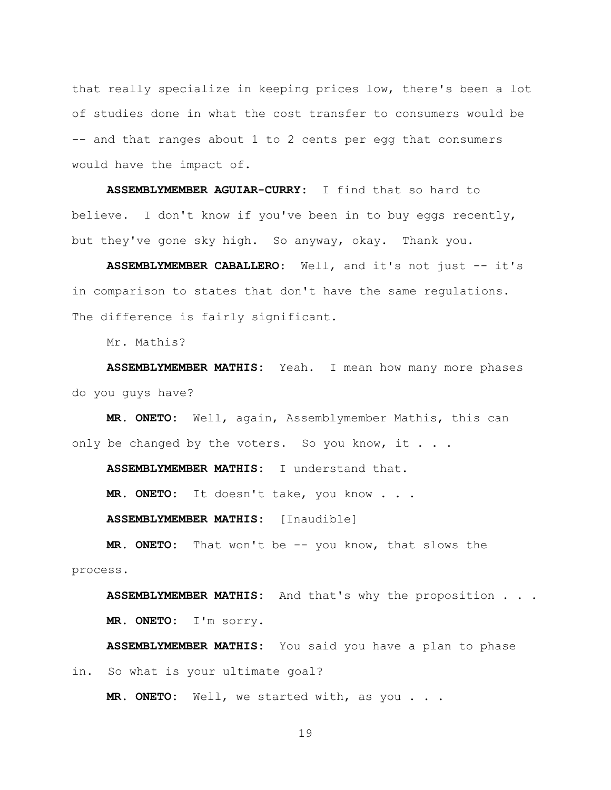that really specialize in keeping prices low, there's been a lot of studies done in what the cost transfer to consumers would be -- and that ranges about 1 to 2 cents per egg that consumers would have the impact of.

**ASSEMBLYMEMBER AGUIAR-CURRY:** I find that so hard to believe. I don't know if you've been in to buy eggs recently, but they've gone sky high. So anyway, okay. Thank you.

**ASSEMBLYMEMBER CABALLERO**: Well, and it's not just -- it's in comparison to states that don't have the same regulations. The difference is fairly significant.

Mr. Mathis?

**ASSEMBLYMEMBER MATHIS:** Yeah. I mean how many more phases do you guys have?

**MR. ONETO:** Well, again, Assemblymember Mathis, this can only be changed by the voters. So you know, it . . .

**ASSEMBLYMEMBER MATHIS:** I understand that.

**MR. ONETO:** It doesn't take, you know . . .

**ASSEMBLYMEMBER MATHIS:** [Inaudible]

**MR. ONETO:** That won't be -- you know, that slows the process.

**ASSEMBLYMEMBER MATHIS:** And that's why the proposition . . . **MR. ONETO:** I'm sorry.

**ASSEMBLYMEMBER MATHIS:** You said you have a plan to phase in. So what is your ultimate goal?

**MR. ONETO:** Well, we started with, as you . . .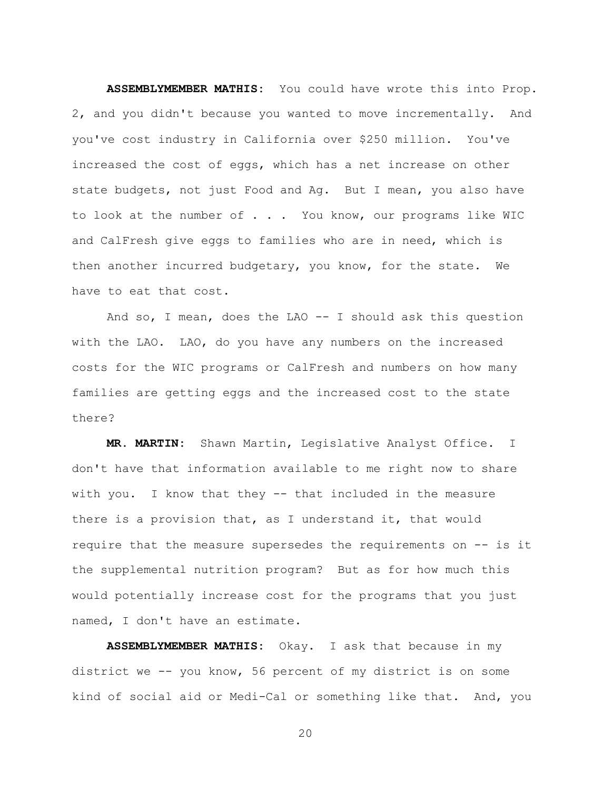**ASSEMBLYMEMBER MATHIS:** You could have wrote this into Prop. 2, and you didn't because you wanted to move incrementally. And you've cost industry in California over \$250 million. You've increased the cost of eggs, which has a net increase on other state budgets, not just Food and Ag. But I mean, you also have to look at the number of . . . You know, our programs like WIC and CalFresh give eggs to families who are in need, which is then another incurred budgetary, you know, for the state. We have to eat that cost.

And so, I mean, does the LAO -- I should ask this question with the LAO. LAO, do you have any numbers on the increased costs for the WIC programs or CalFresh and numbers on how many families are getting eggs and the increased cost to the state there?

**MR. MARTIN:** Shawn Martin, Legislative Analyst Office. I don't have that information available to me right now to share with you. I know that they -- that included in the measure there is a provision that, as I understand it, that would require that the measure supersedes the requirements on -- is it the supplemental nutrition program? But as for how much this would potentially increase cost for the programs that you just named, I don't have an estimate.

**ASSEMBLYMEMBER MATHIS:** Okay. I ask that because in my district we -- you know, 56 percent of my district is on some kind of social aid or Medi-Cal or something like that. And, you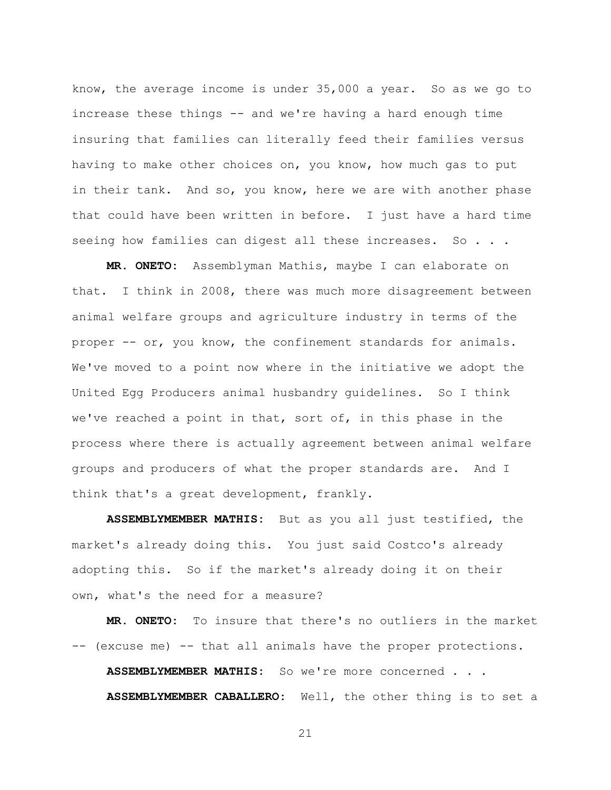know, the average income is under 35,000 a year. So as we go to increase these things -- and we're having a hard enough time insuring that families can literally feed their families versus having to make other choices on, you know, how much gas to put in their tank. And so, you know, here we are with another phase that could have been written in before. I just have a hard time seeing how families can digest all these increases. So . . .

**MR. ONETO:** Assemblyman Mathis, maybe I can elaborate on that. I think in 2008, there was much more disagreement between animal welfare groups and agriculture industry in terms of the proper -- or, you know, the confinement standards for animals. We've moved to a point now where in the initiative we adopt the United Egg Producers animal husbandry guidelines. So I think we've reached a point in that, sort of, in this phase in the process where there is actually agreement between animal welfare groups and producers of what the proper standards are. And I think that's a great development, frankly.

**ASSEMBLYMEMBER MATHIS:** But as you all just testified, the market's already doing this. You just said Costco's already adopting this. So if the market's already doing it on their own, what's the need for a measure?

**MR. ONETO:** To insure that there's no outliers in the market -- (excuse me) -- that all animals have the proper protections.

**ASSEMBLYMEMBER MATHIS:** So we're more concerned . . .

**ASSEMBLYMEMBER CABALLERO:** Well, the other thing is to set a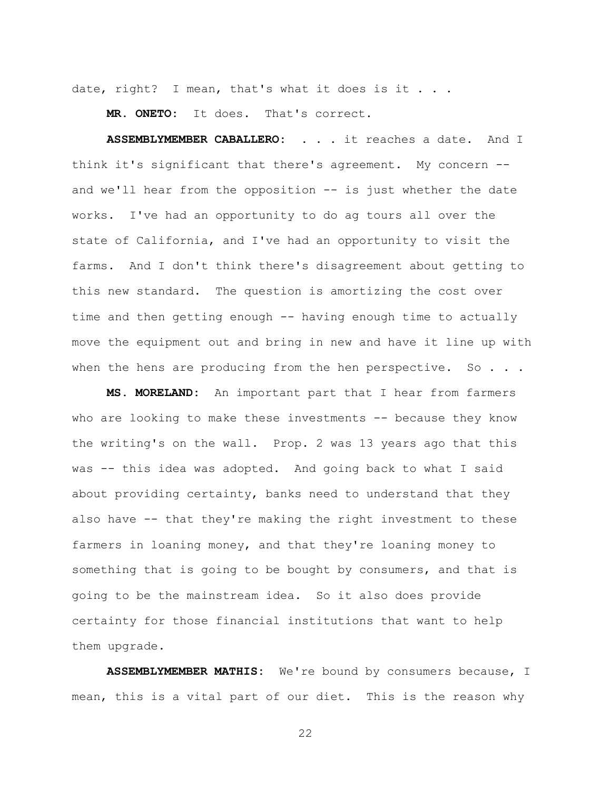date, right? I mean, that's what it does is it . . .

**MR. ONETO:** It does. That's correct.

**ASSEMBLYMEMBER CABALLERO:** . . . it reaches a date. And I think it's significant that there's agreement. My concern - and we'll hear from the opposition  $-$  is just whether the date works. I've had an opportunity to do ag tours all over the state of California, and I've had an opportunity to visit the farms. And I don't think there's disagreement about getting to this new standard. The question is amortizing the cost over time and then getting enough -- having enough time to actually move the equipment out and bring in new and have it line up with when the hens are producing from the hen perspective. So  $. . .$ 

**MS. MORELAND:** An important part that I hear from farmers who are looking to make these investments -- because they know the writing's on the wall. Prop. 2 was 13 years ago that this was -- this idea was adopted. And going back to what I said about providing certainty, banks need to understand that they also have -- that they're making the right investment to these farmers in loaning money, and that they're loaning money to something that is going to be bought by consumers, and that is going to be the mainstream idea. So it also does provide certainty for those financial institutions that want to help them upgrade.

**ASSEMBLYMEMBER MATHIS:** We're bound by consumers because, I mean, this is a vital part of our diet. This is the reason why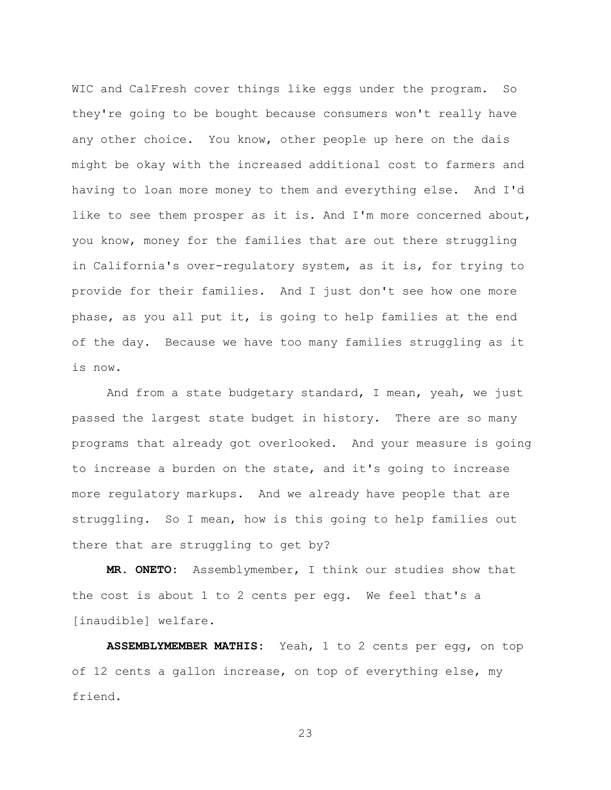WIC and CalFresh cover things like eggs under the program. So they're going to be bought because consumers won't really have any other choice. You know, other people up here on the dais might be okay with the increased additional cost to farmers and having to loan more money to them and everything else. And I'd like to see them prosper as it is. And I'm more concerned about, you know, money for the families that are out there struggling in California's over-regulatory system, as it is, for trying to provide for their families. And I just don't see how one more phase, as you all put it, is going to help families at the end of the day. Because we have too many families struggling as it is now.

And from a state budgetary standard, I mean, yeah, we just passed the largest state budget in history. There are so many programs that already got overlooked. And your measure is going to increase a burden on the state, and it's going to increase more regulatory markups. And we already have people that are struggling. So I mean, how is this going to help families out there that are struggling to get by?

**MR. ONETO:** Assemblymember, I think our studies show that the cost is about 1 to 2 cents per egg. We feel that's a [inaudible] welfare.

**ASSEMBLYMEMBER MATHIS:** Yeah, 1 to 2 cents per egg, on top of 12 cents a gallon increase, on top of everything else, my friend.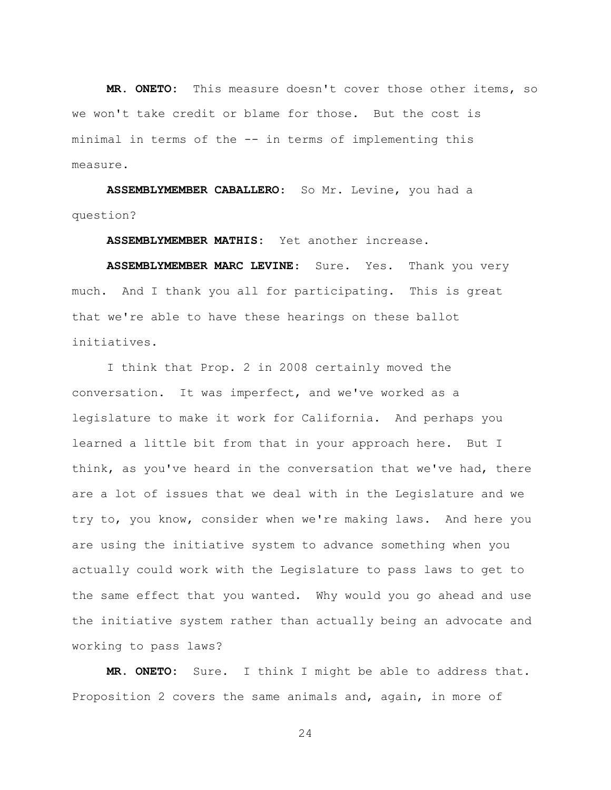**MR. ONETO:** This measure doesn't cover those other items, so we won't take credit or blame for those. But the cost is minimal in terms of the -- in terms of implementing this measure.

**ASSEMBLYMEMBER CABALLERO**: So Mr. Levine, you had a question?

**ASSEMBLYMEMBER MATHIS:** Yet another increase.

**ASSEMBLYMEMBER MARC LEVINE**: Sure. Yes. Thank you very much. And I thank you all for participating. This is great that we're able to have these hearings on these ballot initiatives.

I think that Prop. 2 in 2008 certainly moved the conversation. It was imperfect, and we've worked as a legislature to make it work for California. And perhaps you learned a little bit from that in your approach here. But I think, as you've heard in the conversation that we've had, there are a lot of issues that we deal with in the Legislature and we try to, you know, consider when we're making laws. And here you are using the initiative system to advance something when you actually could work with the Legislature to pass laws to get to the same effect that you wanted. Why would you go ahead and use the initiative system rather than actually being an advocate and working to pass laws?

**MR. ONETO:** Sure. I think I might be able to address that. Proposition 2 covers the same animals and, again, in more of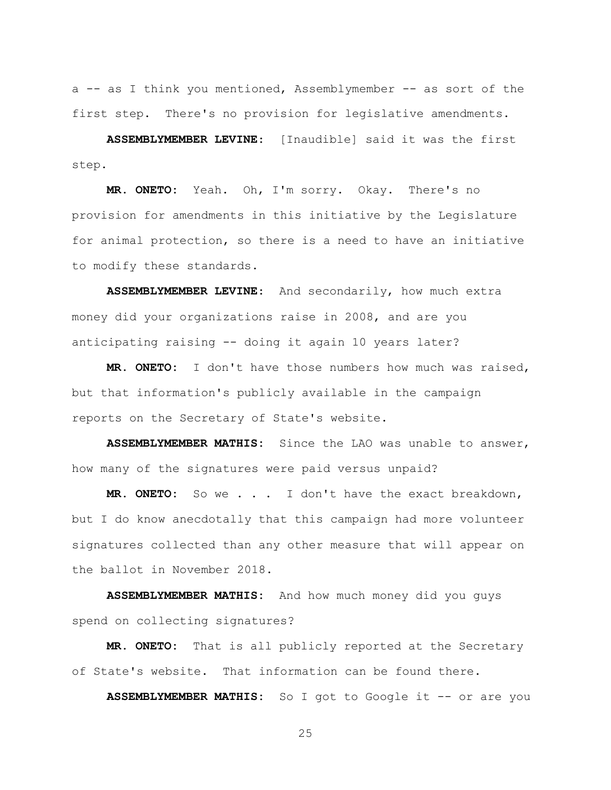a -- as I think you mentioned, Assemblymember -- as sort of the first step. There's no provision for legislative amendments.

**ASSEMBLYMEMBER LEVINE**: [Inaudible] said it was the first step.

**MR. ONETO:** Yeah. Oh, I'm sorry. Okay. There's no provision for amendments in this initiative by the Legislature for animal protection, so there is a need to have an initiative to modify these standards.

**ASSEMBLYMEMBER LEVINE**: And secondarily, how much extra money did your organizations raise in 2008, and are you anticipating raising -- doing it again 10 years later?

**MR. ONETO:** I don't have those numbers how much was raised, but that information's publicly available in the campaign reports on the Secretary of State's website.

**ASSEMBLYMEMBER MATHIS:** Since the LAO was unable to answer, how many of the signatures were paid versus unpaid?

**MR. ONETO:** So we . . . I don't have the exact breakdown, but I do know anecdotally that this campaign had more volunteer signatures collected than any other measure that will appear on the ballot in November 2018.

**ASSEMBLYMEMBER MATHIS:** And how much money did you guys spend on collecting signatures?

**MR. ONETO:** That is all publicly reported at the Secretary of State's website. That information can be found there.

**ASSEMBLYMEMBER MATHIS:** So I got to Google it -- or are you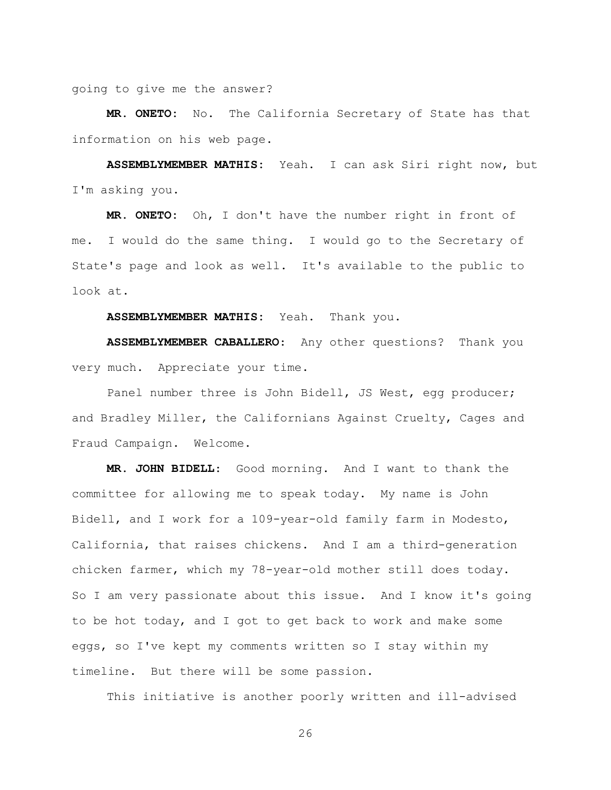going to give me the answer?

**MR. ONETO:** No. The California Secretary of State has that information on his web page.

**ASSEMBLYMEMBER MATHIS:** Yeah. I can ask Siri right now, but I'm asking you.

**MR. ONETO:** Oh, I don't have the number right in front of me. I would do the same thing. I would go to the Secretary of State's page and look as well. It's available to the public to look at.

**ASSEMBLYMEMBER MATHIS:** Yeah. Thank you.

**ASSEMBLYMEMBER CABALLERO**: Any other questions? Thank you very much. Appreciate your time.

Panel number three is John Bidell, JS West, egg producer; and Bradley Miller, the Californians Against Cruelty, Cages and Fraud Campaign. Welcome.

**MR. JOHN BIDELL**: Good morning. And I want to thank the committee for allowing me to speak today. My name is John Bidell, and I work for a 109-year-old family farm in Modesto, California, that raises chickens. And I am a third-generation chicken farmer, which my 78-year-old mother still does today. So I am very passionate about this issue. And I know it's going to be hot today, and I got to get back to work and make some eggs, so I've kept my comments written so I stay within my timeline. But there will be some passion.

This initiative is another poorly written and ill-advised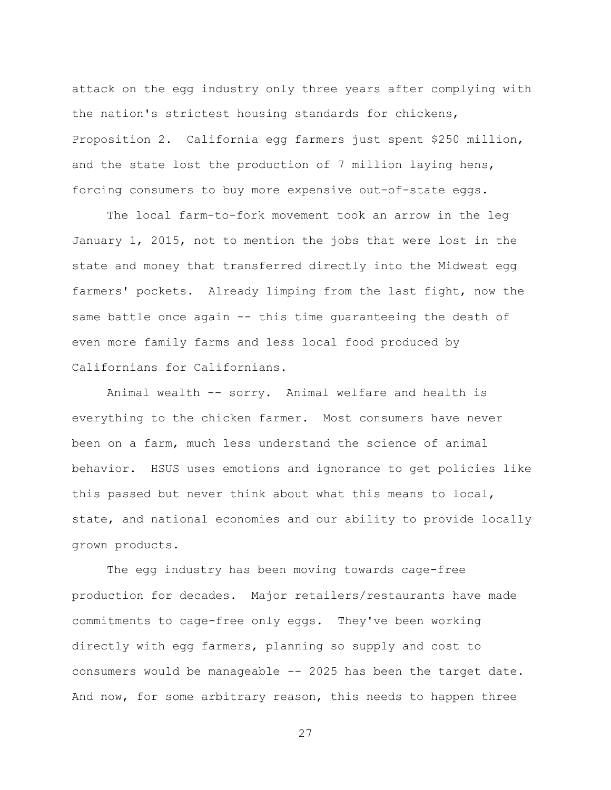attack on the egg industry only three years after complying with the nation's strictest housing standards for chickens, Proposition 2. California egg farmers just spent \$250 million, and the state lost the production of 7 million laying hens, forcing consumers to buy more expensive out-of-state eggs.

The local farm-to-fork movement took an arrow in the leg January 1, 2015, not to mention the jobs that were lost in the state and money that transferred directly into the Midwest egg farmers' pockets. Already limping from the last fight, now the same battle once again -- this time guaranteeing the death of even more family farms and less local food produced by Californians for Californians.

Animal wealth -- sorry. Animal welfare and health is everything to the chicken farmer. Most consumers have never been on a farm, much less understand the science of animal behavior. HSUS uses emotions and ignorance to get policies like this passed but never think about what this means to local, state, and national economies and our ability to provide locally grown products.

The egg industry has been moving towards cage-free production for decades. Major retailers/restaurants have made commitments to cage-free only eggs. They've been working directly with egg farmers, planning so supply and cost to consumers would be manageable -- 2025 has been the target date. And now, for some arbitrary reason, this needs to happen three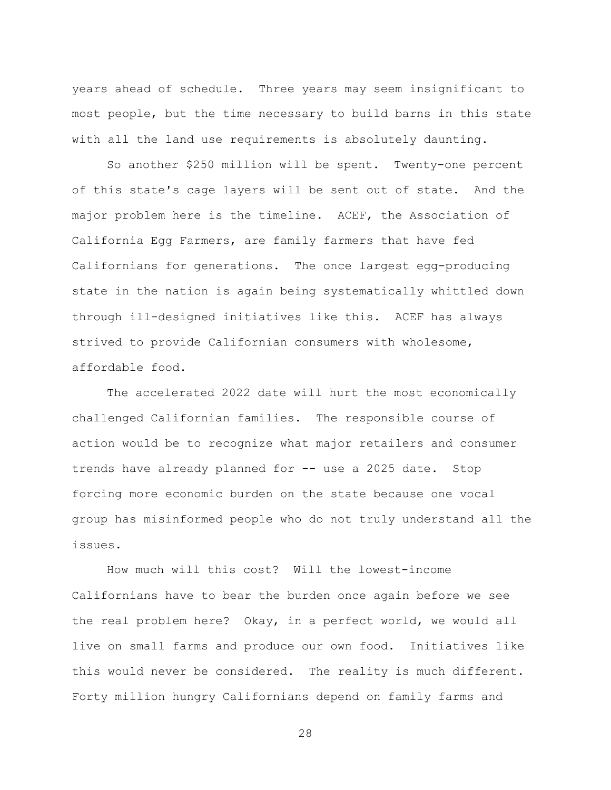years ahead of schedule. Three years may seem insignificant to most people, but the time necessary to build barns in this state with all the land use requirements is absolutely daunting.

So another \$250 million will be spent. Twenty-one percent of this state's cage layers will be sent out of state. And the major problem here is the timeline. ACEF, the Association of California Egg Farmers, are family farmers that have fed Californians for generations. The once largest egg-producing state in the nation is again being systematically whittled down through ill-designed initiatives like this. ACEF has always strived to provide Californian consumers with wholesome, affordable food.

The accelerated 2022 date will hurt the most economically challenged Californian families. The responsible course of action would be to recognize what major retailers and consumer trends have already planned for -- use a 2025 date. Stop forcing more economic burden on the state because one vocal group has misinformed people who do not truly understand all the issues.

How much will this cost? Will the lowest-income Californians have to bear the burden once again before we see the real problem here? Okay, in a perfect world, we would all live on small farms and produce our own food. Initiatives like this would never be considered. The reality is much different. Forty million hungry Californians depend on family farms and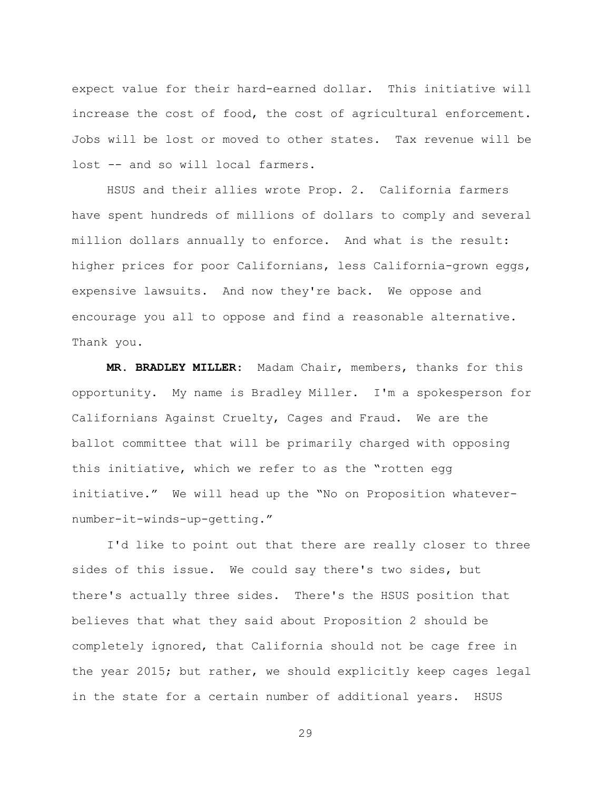expect value for their hard-earned dollar. This initiative will increase the cost of food, the cost of agricultural enforcement. Jobs will be lost or moved to other states. Tax revenue will be lost -- and so will local farmers.

HSUS and their allies wrote Prop. 2. California farmers have spent hundreds of millions of dollars to comply and several million dollars annually to enforce. And what is the result: higher prices for poor Californians, less California-grown eggs, expensive lawsuits. And now they're back. We oppose and encourage you all to oppose and find a reasonable alternative. Thank you.

**MR. BRADLEY MILLER**: Madam Chair, members, thanks for this opportunity. My name is Bradley Miller. I'm a spokesperson for Californians Against Cruelty, Cages and Fraud. We are the ballot committee that will be primarily charged with opposing this initiative, which we refer to as the "rotten egg initiative." We will head up the "No on Proposition whatevernumber-it-winds-up-getting."

I'd like to point out that there are really closer to three sides of this issue. We could say there's two sides, but there's actually three sides. There's the HSUS position that believes that what they said about Proposition 2 should be completely ignored, that California should not be cage free in the year 2015; but rather, we should explicitly keep cages legal in the state for a certain number of additional years. HSUS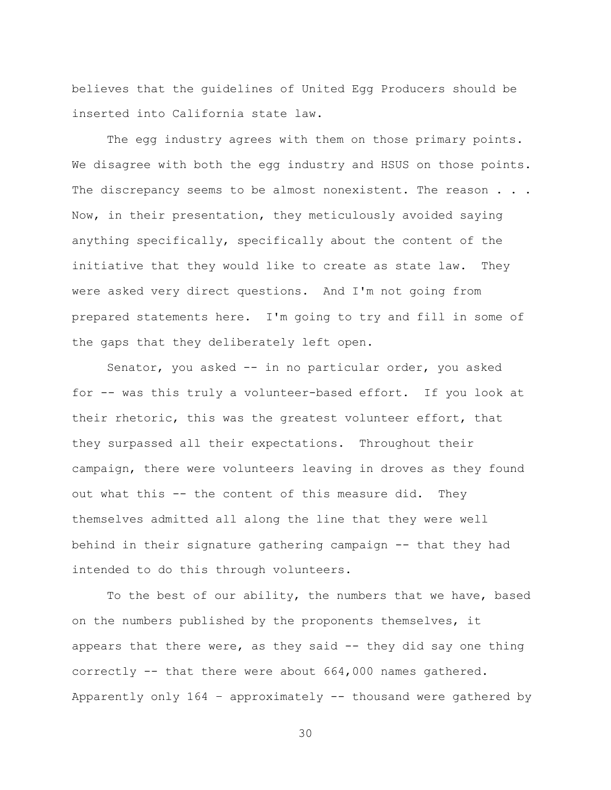believes that the guidelines of United Egg Producers should be inserted into California state law.

The egg industry agrees with them on those primary points. We disagree with both the egg industry and HSUS on those points. The discrepancy seems to be almost nonexistent. The reason . . . Now, in their presentation, they meticulously avoided saying anything specifically, specifically about the content of the initiative that they would like to create as state law. They were asked very direct questions. And I'm not going from prepared statements here. I'm going to try and fill in some of the gaps that they deliberately left open.

Senator, you asked -- in no particular order, you asked for -- was this truly a volunteer-based effort. If you look at their rhetoric, this was the greatest volunteer effort, that they surpassed all their expectations. Throughout their campaign, there were volunteers leaving in droves as they found out what this -- the content of this measure did. They themselves admitted all along the line that they were well behind in their signature gathering campaign -- that they had intended to do this through volunteers.

To the best of our ability, the numbers that we have, based on the numbers published by the proponents themselves, it appears that there were, as they said -- they did say one thing correctly -- that there were about 664,000 names gathered. Apparently only 164 – approximately -- thousand were gathered by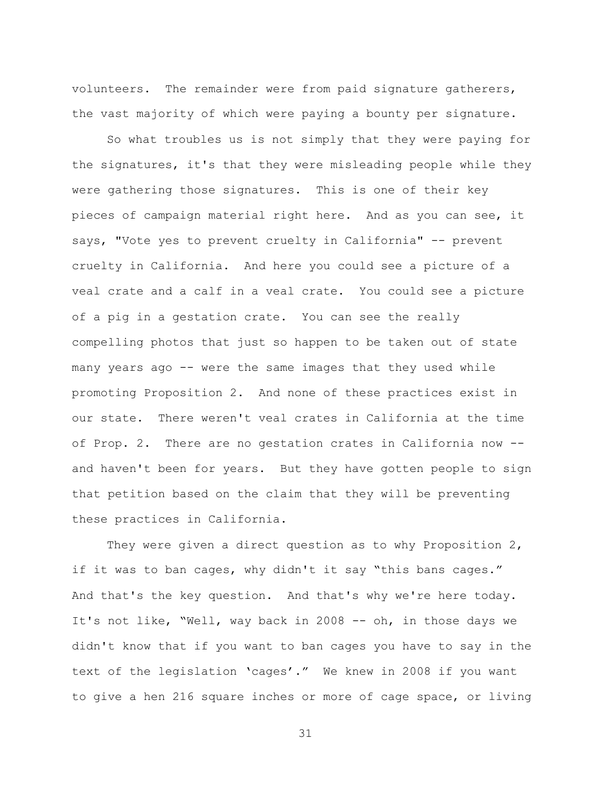volunteers. The remainder were from paid signature gatherers, the vast majority of which were paying a bounty per signature.

So what troubles us is not simply that they were paying for the signatures, it's that they were misleading people while they were gathering those signatures. This is one of their key pieces of campaign material right here. And as you can see, it says, "Vote yes to prevent cruelty in California" -- prevent cruelty in California. And here you could see a picture of a veal crate and a calf in a veal crate. You could see a picture of a pig in a gestation crate. You can see the really compelling photos that just so happen to be taken out of state many years ago -- were the same images that they used while promoting Proposition 2. And none of these practices exist in our state. There weren't veal crates in California at the time of Prop. 2. There are no gestation crates in California now - and haven't been for years. But they have gotten people to sign that petition based on the claim that they will be preventing these practices in California.

They were given a direct question as to why Proposition 2, if it was to ban cages, why didn't it say "this bans cages." And that's the key question. And that's why we're here today. It's not like, "Well, way back in 2008 -- oh, in those days we didn't know that if you want to ban cages you have to say in the text of the legislation 'cages'." We knew in 2008 if you want to give a hen 216 square inches or more of cage space, or living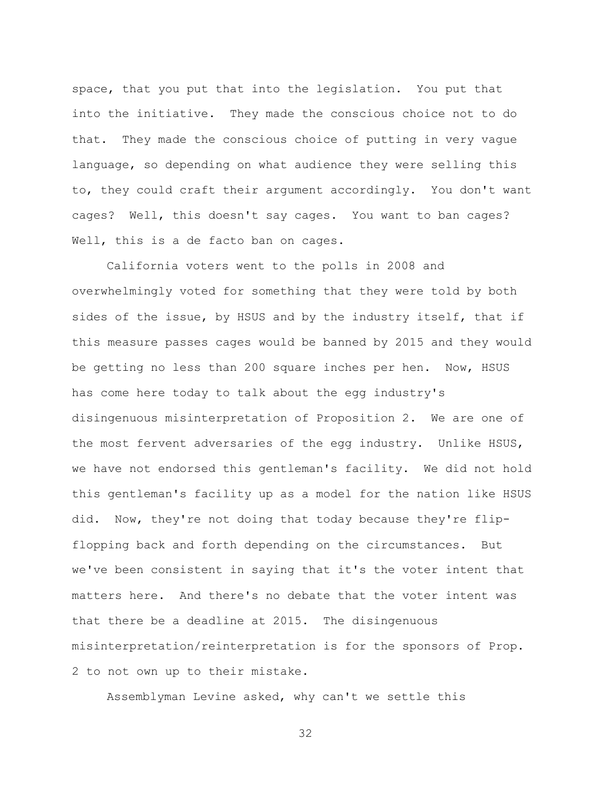space, that you put that into the legislation. You put that into the initiative. They made the conscious choice not to do that. They made the conscious choice of putting in very vague language, so depending on what audience they were selling this to, they could craft their argument accordingly. You don't want cages? Well, this doesn't say cages. You want to ban cages? Well, this is a de facto ban on cages.

California voters went to the polls in 2008 and overwhelmingly voted for something that they were told by both sides of the issue, by HSUS and by the industry itself, that if this measure passes cages would be banned by 2015 and they would be getting no less than 200 square inches per hen. Now, HSUS has come here today to talk about the egg industry's disingenuous misinterpretation of Proposition 2. We are one of the most fervent adversaries of the egg industry. Unlike HSUS, we have not endorsed this gentleman's facility. We did not hold this gentleman's facility up as a model for the nation like HSUS did. Now, they're not doing that today because they're flipflopping back and forth depending on the circumstances. But we've been consistent in saying that it's the voter intent that matters here. And there's no debate that the voter intent was that there be a deadline at 2015. The disingenuous misinterpretation/reinterpretation is for the sponsors of Prop. 2 to not own up to their mistake.

Assemblyman Levine asked, why can't we settle this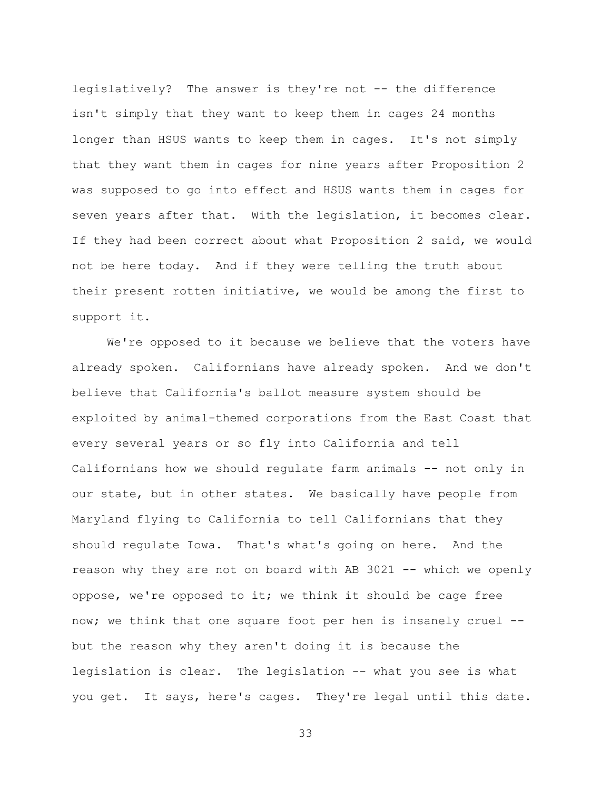legislatively? The answer is they're not -- the difference isn't simply that they want to keep them in cages 24 months longer than HSUS wants to keep them in cages. It's not simply that they want them in cages for nine years after Proposition 2 was supposed to go into effect and HSUS wants them in cages for seven years after that. With the legislation, it becomes clear. If they had been correct about what Proposition 2 said, we would not be here today. And if they were telling the truth about their present rotten initiative, we would be among the first to support it.

We're opposed to it because we believe that the voters have already spoken. Californians have already spoken. And we don't believe that California's ballot measure system should be exploited by animal-themed corporations from the East Coast that every several years or so fly into California and tell Californians how we should regulate farm animals -- not only in our state, but in other states. We basically have people from Maryland flying to California to tell Californians that they should regulate Iowa. That's what's going on here. And the reason why they are not on board with AB 3021 -- which we openly oppose, we're opposed to it; we think it should be cage free now; we think that one square foot per hen is insanely cruel - but the reason why they aren't doing it is because the legislation is clear. The legislation -- what you see is what you get. It says, here's cages. They're legal until this date.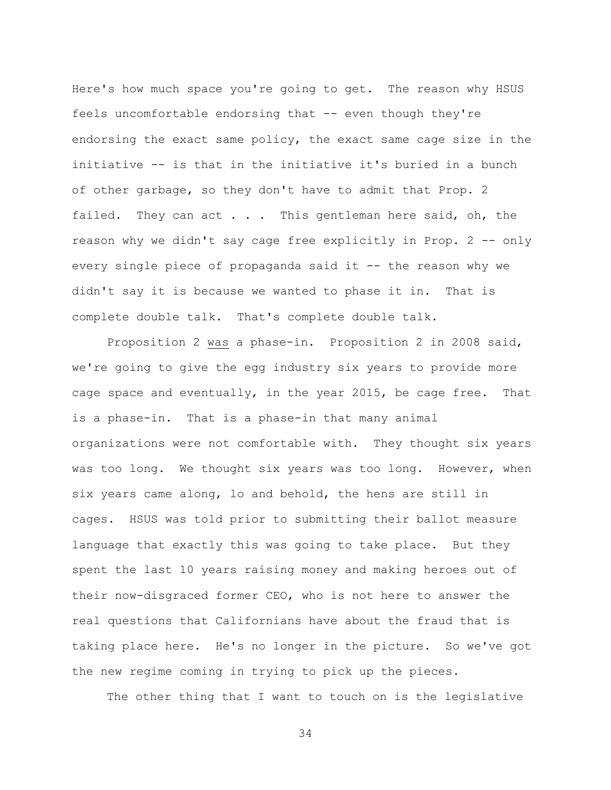Here's how much space you're going to get. The reason why HSUS feels uncomfortable endorsing that -- even though they're endorsing the exact same policy, the exact same cage size in the initiative -- is that in the initiative it's buried in a bunch of other garbage, so they don't have to admit that Prop. 2 failed. They can act  $\ldots$  . This gentleman here said, oh, the reason why we didn't say cage free explicitly in Prop. 2 -- only every single piece of propaganda said it -- the reason why we didn't say it is because we wanted to phase it in. That is complete double talk. That's complete double talk.

Proposition 2 was a phase-in. Proposition 2 in 2008 said, we're going to give the egg industry six years to provide more cage space and eventually, in the year 2015, be cage free. That is a phase-in. That is a phase-in that many animal organizations were not comfortable with. They thought six years was too long. We thought six years was too long. However, when six years came along, lo and behold, the hens are still in cages. HSUS was told prior to submitting their ballot measure language that exactly this was going to take place. But they spent the last 10 years raising money and making heroes out of their now-disgraced former CEO, who is not here to answer the real questions that Californians have about the fraud that is taking place here. He's no longer in the picture. So we've got the new regime coming in trying to pick up the pieces.

The other thing that I want to touch on is the legislative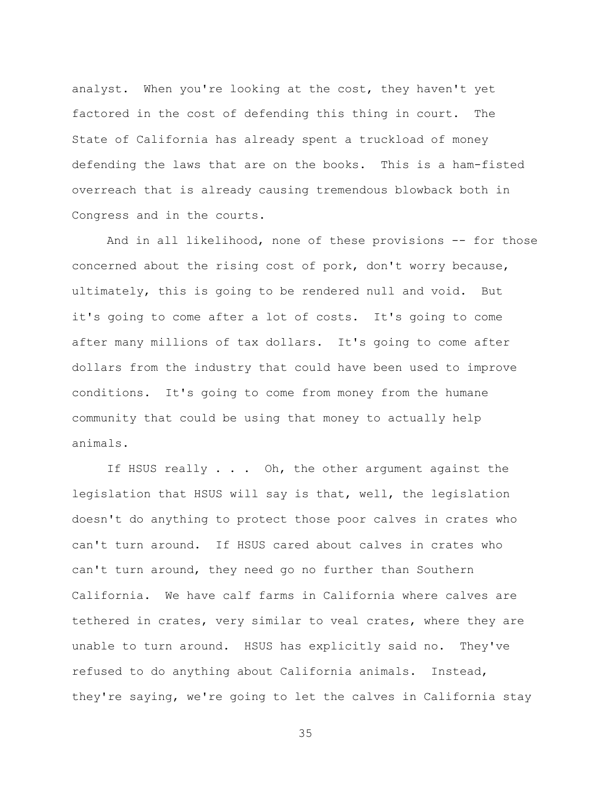analyst. When you're looking at the cost, they haven't yet factored in the cost of defending this thing in court. The State of California has already spent a truckload of money defending the laws that are on the books. This is a ham-fisted overreach that is already causing tremendous blowback both in Congress and in the courts.

And in all likelihood, none of these provisions -- for those concerned about the rising cost of pork, don't worry because, ultimately, this is going to be rendered null and void. But it's going to come after a lot of costs. It's going to come after many millions of tax dollars. It's going to come after dollars from the industry that could have been used to improve conditions. It's going to come from money from the humane community that could be using that money to actually help animals.

If HSUS really . . . Oh, the other argument against the legislation that HSUS will say is that, well, the legislation doesn't do anything to protect those poor calves in crates who can't turn around. If HSUS cared about calves in crates who can't turn around, they need go no further than Southern California. We have calf farms in California where calves are tethered in crates, very similar to veal crates, where they are unable to turn around. HSUS has explicitly said no. They've refused to do anything about California animals. Instead, they're saying, we're going to let the calves in California stay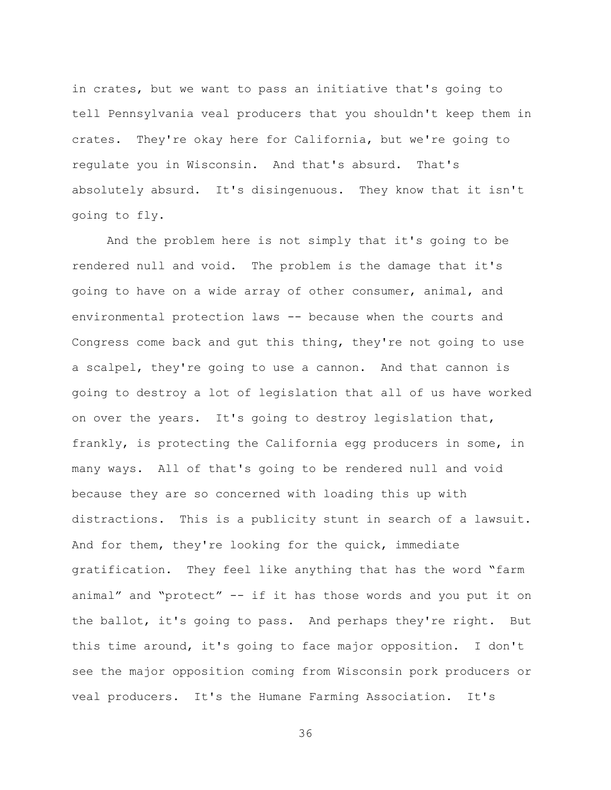in crates, but we want to pass an initiative that's going to tell Pennsylvania veal producers that you shouldn't keep them in crates. They're okay here for California, but we're going to regulate you in Wisconsin. And that's absurd. That's absolutely absurd. It's disingenuous. They know that it isn't going to fly.

And the problem here is not simply that it's going to be rendered null and void. The problem is the damage that it's going to have on a wide array of other consumer, animal, and environmental protection laws -- because when the courts and Congress come back and gut this thing, they're not going to use a scalpel, they're going to use a cannon. And that cannon is going to destroy a lot of legislation that all of us have worked on over the years. It's going to destroy legislation that, frankly, is protecting the California egg producers in some, in many ways. All of that's going to be rendered null and void because they are so concerned with loading this up with distractions. This is a publicity stunt in search of a lawsuit. And for them, they're looking for the quick, immediate gratification. They feel like anything that has the word "farm animal" and "protect" -- if it has those words and you put it on the ballot, it's going to pass. And perhaps they're right. But this time around, it's going to face major opposition. I don't see the major opposition coming from Wisconsin pork producers or veal producers. It's the Humane Farming Association. It's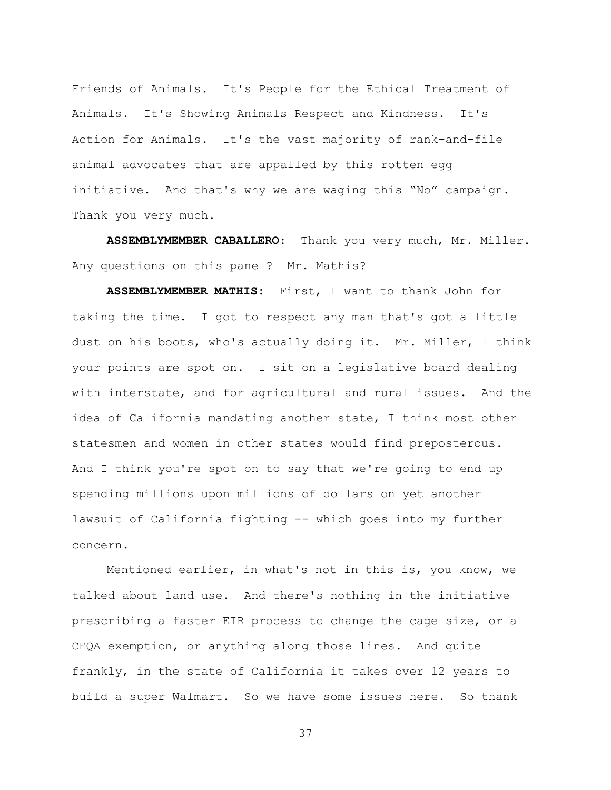Friends of Animals. It's People for the Ethical Treatment of Animals. It's Showing Animals Respect and Kindness. It's Action for Animals. It's the vast majority of rank-and-file animal advocates that are appalled by this rotten egg initiative. And that's why we are waging this "No" campaign. Thank you very much.

**ASSEMBLYMEMBER CABALLERO**: Thank you very much, Mr. Miller. Any questions on this panel? Mr. Mathis?

**ASSEMBLYMEMBER MATHIS:** First, I want to thank John for taking the time. I got to respect any man that's got a little dust on his boots, who's actually doing it. Mr. Miller, I think your points are spot on. I sit on a legislative board dealing with interstate, and for agricultural and rural issues. And the idea of California mandating another state, I think most other statesmen and women in other states would find preposterous. And I think you're spot on to say that we're going to end up spending millions upon millions of dollars on yet another lawsuit of California fighting -- which goes into my further concern.

Mentioned earlier, in what's not in this is, you know, we talked about land use. And there's nothing in the initiative prescribing a faster EIR process to change the cage size, or a CEQA exemption, or anything along those lines. And quite frankly, in the state of California it takes over 12 years to build a super Walmart. So we have some issues here. So thank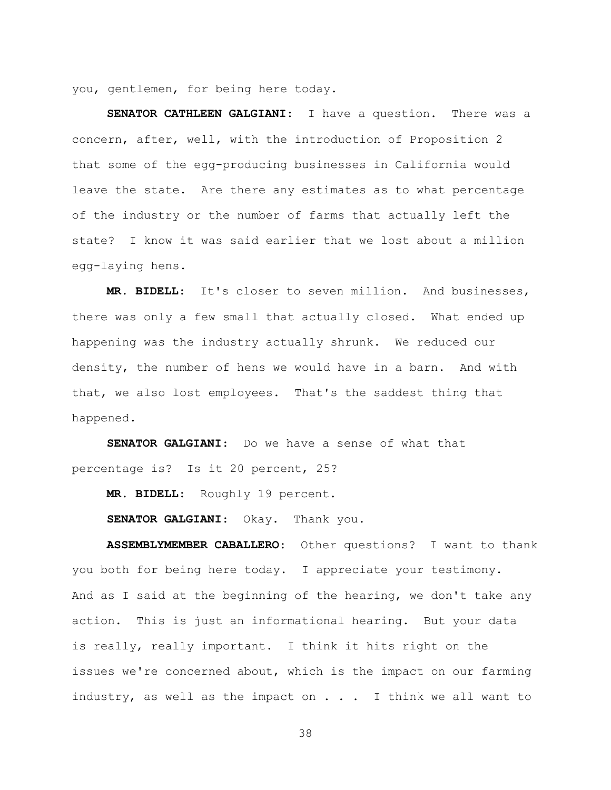you, gentlemen, for being here today.

**SENATOR CATHLEEN GALGIANI**: I have a question. There was a concern, after, well, with the introduction of Proposition 2 that some of the egg-producing businesses in California would leave the state. Are there any estimates as to what percentage of the industry or the number of farms that actually left the state? I know it was said earlier that we lost about a million egg-laying hens.

**MR. BIDELL**: It's closer to seven million. And businesses, there was only a few small that actually closed. What ended up happening was the industry actually shrunk. We reduced our density, the number of hens we would have in a barn. And with that, we also lost employees. That's the saddest thing that happened.

**SENATOR GALGIANI**: Do we have a sense of what that percentage is? Is it 20 percent, 25?

**MR. BIDELL**: Roughly 19 percent.

SENATOR GALGIANI: Okay. Thank you.

**ASSEMBLYMEMBER CABALLERO**: Other questions? I want to thank you both for being here today. I appreciate your testimony. And as I said at the beginning of the hearing, we don't take any action. This is just an informational hearing. But your data is really, really important. I think it hits right on the issues we're concerned about, which is the impact on our farming industry, as well as the impact on  $\ldots$  I think we all want to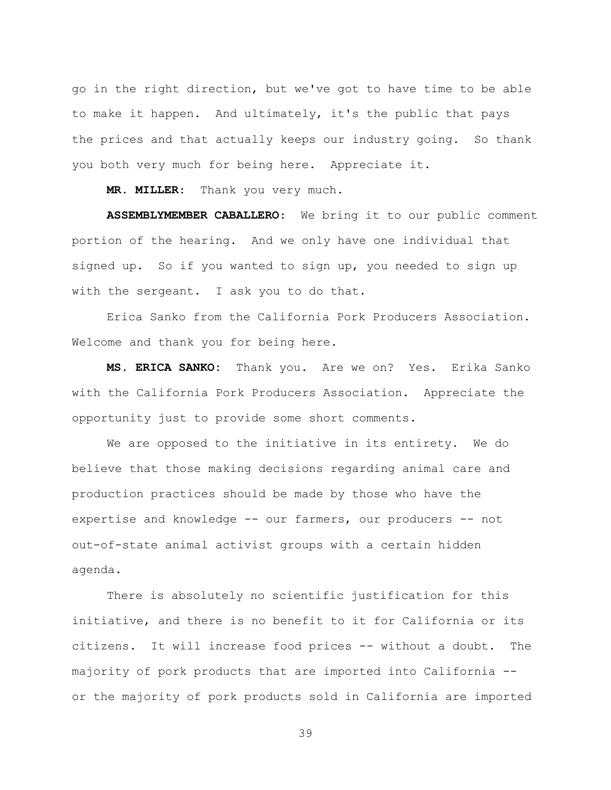go in the right direction, but we've got to have time to be able to make it happen. And ultimately, it's the public that pays the prices and that actually keeps our industry going. So thank you both very much for being here. Appreciate it.

**MR. MILLER**: Thank you very much.

**ASSEMBLYMEMBER CABALLERO**: We bring it to our public comment portion of the hearing. And we only have one individual that signed up. So if you wanted to sign up, you needed to sign up with the sergeant. I ask you to do that.

Erica Sanko from the California Pork Producers Association. Welcome and thank you for being here.

**MS. ERICA SANKO:** Thank you. Are we on? Yes. Erika Sanko with the California Pork Producers Association. Appreciate the opportunity just to provide some short comments.

We are opposed to the initiative in its entirety. We do believe that those making decisions regarding animal care and production practices should be made by those who have the expertise and knowledge -- our farmers, our producers -- not out-of-state animal activist groups with a certain hidden agenda.

There is absolutely no scientific justification for this initiative, and there is no benefit to it for California or its citizens. It will increase food prices -- without a doubt. The majority of pork products that are imported into California - or the majority of pork products sold in California are imported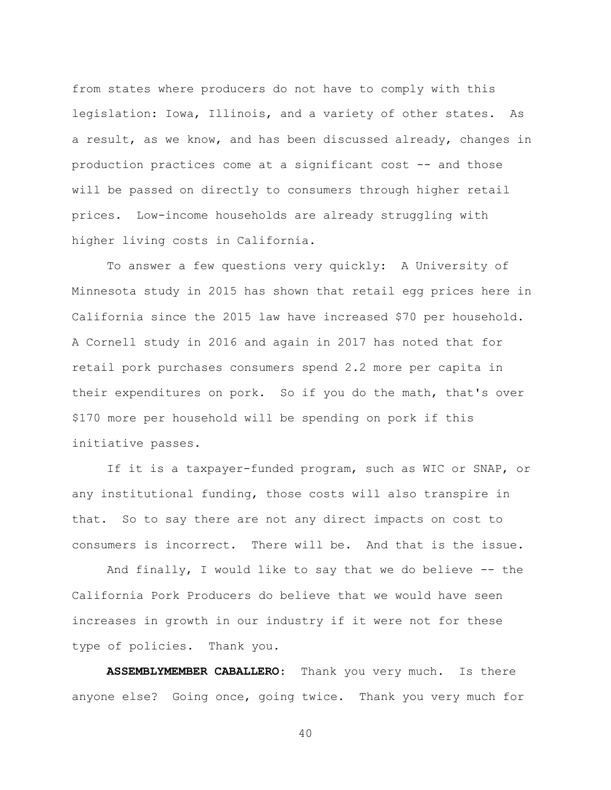from states where producers do not have to comply with this legislation: Iowa, Illinois, and a variety of other states. As a result, as we know, and has been discussed already, changes in production practices come at a significant cost -- and those will be passed on directly to consumers through higher retail prices. Low-income households are already struggling with higher living costs in California.

To answer a few questions very quickly: A University of Minnesota study in 2015 has shown that retail egg prices here in California since the 2015 law have increased \$70 per household. A Cornell study in 2016 and again in 2017 has noted that for retail pork purchases consumers spend 2.2 more per capita in their expenditures on pork. So if you do the math, that's over \$170 more per household will be spending on pork if this initiative passes.

If it is a taxpayer-funded program, such as WIC or SNAP, or any institutional funding, those costs will also transpire in that. So to say there are not any direct impacts on cost to consumers is incorrect. There will be. And that is the issue.

And finally, I would like to say that we do believe  $-$ - the California Pork Producers do believe that we would have seen increases in growth in our industry if it were not for these type of policies. Thank you.

**ASSEMBLYMEMBER CABALLERO**: Thank you very much. Is there anyone else? Going once, going twice. Thank you very much for